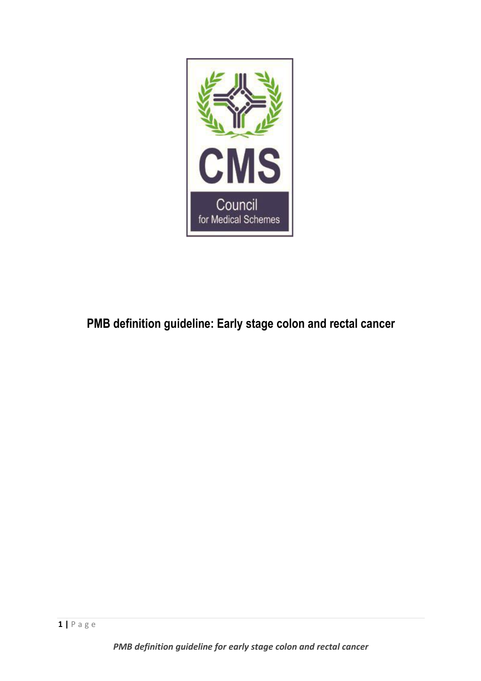

# **PMB definition guideline: Early stage colon and rectal cancer**

*PMB definition guideline for early stage colon and rectal cancer*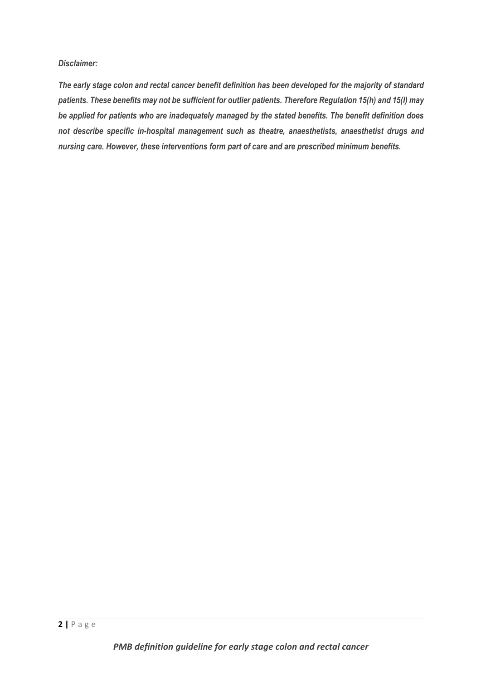### *Disclaimer:*

*The early stage colon and rectal cancer benefit definition has been developed for the majority of standard patients. These benefits may not be sufficient for outlier patients. Therefore Regulation 15(h) and 15(I) may be applied for patients who are inadequately managed by the stated benefits. The benefit definition does not describe specific in-hospital management such as theatre, anaesthetists, anaesthetist drugs and nursing care. However, these interventions form part of care and are prescribed minimum benefits.*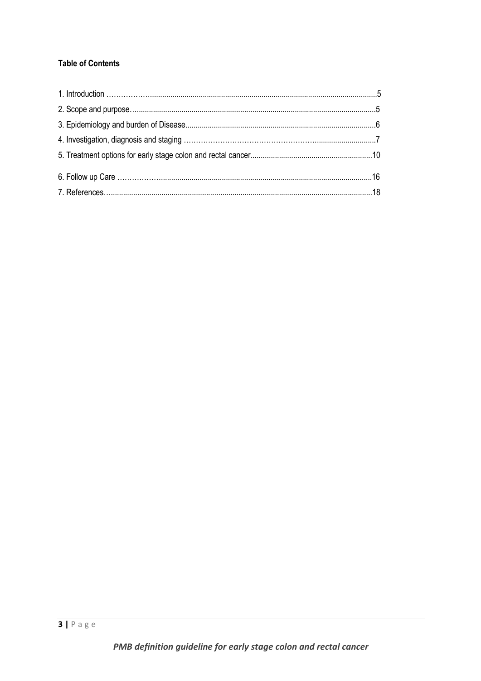# **Table of Contents**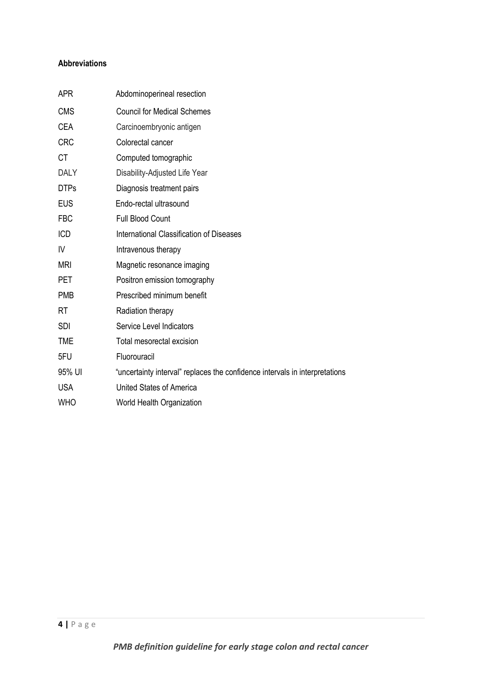# **Abbreviations**

| <b>APR</b>  | Abdominoperineal resection                                                  |
|-------------|-----------------------------------------------------------------------------|
| <b>CMS</b>  | <b>Council for Medical Schemes</b>                                          |
| <b>CEA</b>  | Carcinoembryonic antigen                                                    |
| <b>CRC</b>  | Colorectal cancer                                                           |
| <b>CT</b>   | Computed tomographic                                                        |
| <b>DALY</b> | Disability-Adjusted Life Year                                               |
| <b>DTPs</b> | Diagnosis treatment pairs                                                   |
| <b>EUS</b>  | Endo-rectal ultrasound                                                      |
| <b>FBC</b>  | <b>Full Blood Count</b>                                                     |
| <b>ICD</b>  | International Classification of Diseases                                    |
| IV          | Intravenous therapy                                                         |
| <b>MRI</b>  | Magnetic resonance imaging                                                  |
| PET         | Positron emission tomography                                                |
| <b>PMB</b>  | Prescribed minimum benefit                                                  |
| <b>RT</b>   | Radiation therapy                                                           |
| <b>SDI</b>  | Service Level Indicators                                                    |
| <b>TME</b>  | Total mesorectal excision                                                   |
| 5FU         | Fluorouracil                                                                |
| 95% UI      | "uncertainty interval" replaces the confidence intervals in interpretations |
| <b>USA</b>  | <b>United States of America</b>                                             |
| <b>WHO</b>  | World Health Organization                                                   |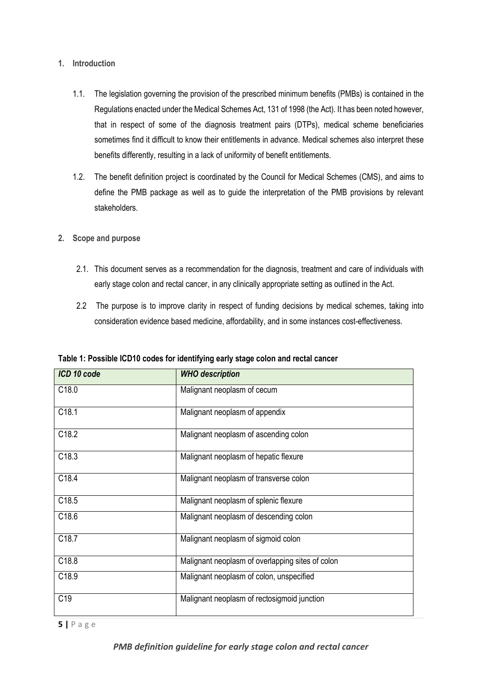## **1. Introduction**

- 1.1. The legislation governing the provision of the prescribed minimum benefits (PMBs) is contained in the Regulations enacted under the Medical Schemes Act, 131 of 1998 (the Act). It has been noted however, that in respect of some of the diagnosis treatment pairs (DTPs), medical scheme beneficiaries sometimes find it difficult to know their entitlements in advance. Medical schemes also interpret these benefits differently, resulting in a lack of uniformity of benefit entitlements.
- 1.2. The benefit definition project is coordinated by the Council for Medical Schemes (CMS), and aims to define the PMB package as well as to guide the interpretation of the PMB provisions by relevant stakeholders.
- **2. Scope and purpose**
	- 2.1. This document serves as a recommendation for the diagnosis, treatment and care of individuals with early stage colon and rectal cancer, in any clinically appropriate setting as outlined in the Act.
	- 2.2 The purpose is to improve clarity in respect of funding decisions by medical schemes, taking into consideration evidence based medicine, affordability, and in some instances cost-effectiveness.

| ICD 10 code       | <b>WHO</b> description                           |
|-------------------|--------------------------------------------------|
| C <sub>18.0</sub> | Malignant neoplasm of cecum                      |
| C18.1             | Malignant neoplasm of appendix                   |
| C18.2             | Malignant neoplasm of ascending colon            |
| C18.3             | Malignant neoplasm of hepatic flexure            |
| C18.4             | Malignant neoplasm of transverse colon           |
| C18.5             | Malignant neoplasm of splenic flexure            |
| C18.6             | Malignant neoplasm of descending colon           |
| C18.7             | Malignant neoplasm of sigmoid colon              |
| C18.8             | Malignant neoplasm of overlapping sites of colon |
| C18.9             | Malignant neoplasm of colon, unspecified         |
| C <sub>19</sub>   | Malignant neoplasm of rectosigmoid junction      |

**Table 1: Possible ICD10 codes for identifying early stage colon and rectal cancer**

**5 |** P a g e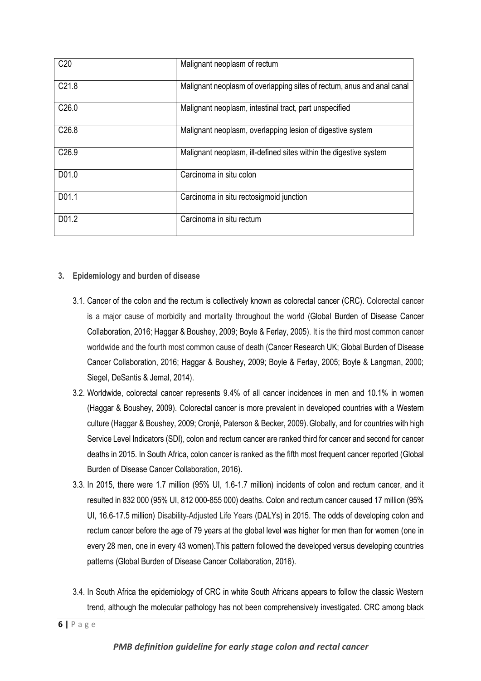| C <sub>20</sub>   | Malignant neoplasm of rectum                                           |
|-------------------|------------------------------------------------------------------------|
| C <sub>21.8</sub> | Malignant neoplasm of overlapping sites of rectum, anus and anal canal |
| C <sub>26.0</sub> | Malignant neoplasm, intestinal tract, part unspecified                 |
| C <sub>26.8</sub> | Malignant neoplasm, overlapping lesion of digestive system             |
| C <sub>26.9</sub> | Malignant neoplasm, ill-defined sites within the digestive system      |
| D01.0             | Carcinoma in situ colon                                                |
| D01.1             | Carcinoma in situ rectosigmoid junction                                |
| D01.2             | Carcinoma in situ rectum                                               |

## **3. Epidemiology and burden of disease**

- 3.1. Cancer of the colon and the rectum is collectively known as colorectal cancer (CRC). Colorectal cancer is a major cause of morbidity and mortality throughout the world (Global Burden of Disease Cancer Collaboration, 2016; Haggar & Boushey, 2009; Boyle & Ferlay, 2005). It is the third most common cancer worldwide and the fourth most common cause of death (Cancer Research UK; Global Burden of Disease Cancer Collaboration, 2016; Haggar & Boushey, 2009; Boyle & Ferlay, 2005; Boyle & Langman, 2000; Siegel, DeSantis & Jemal, 2014).
- 3.2. Worldwide, colorectal cancer represents 9.4% of all cancer incidences in men and 10.1% in women (Haggar & Boushey, 2009). Colorectal cancer is more prevalent in developed countries with a Western culture (Haggar & Boushey, 2009; Cronjé, Paterson & Becker, 2009).Globally, and for countries with high Service Level Indicators (SDI), colon and rectum cancer are ranked third for cancer and second for cancer deaths in 2015. In South Africa, colon cancer is ranked as the fifth most frequent cancer reported (Global Burden of Disease Cancer Collaboration, 2016).
- 3.3. In 2015, there were 1.7 million (95% UI, 1.6-1.7 million) incidents of colon and rectum cancer, and it resulted in 832 000 (95% UI, 812 000-855 000) deaths. Colon and rectum cancer caused 17 million (95% UI, 16.6-17.5 million) Disability-Adjusted Life Years (DALYs) in 2015. The odds of developing colon and rectum cancer before the age of 79 years at the global level was higher for men than for women (one in every 28 men, one in every 43 women).This pattern followed the developed versus developing countries patterns (Global Burden of Disease Cancer Collaboration, 2016).
- 3.4. In South Africa the epidemiology of CRC in white South Africans appears to follow the classic Western trend, although the molecular pathology has not been comprehensively investigated. CRC among black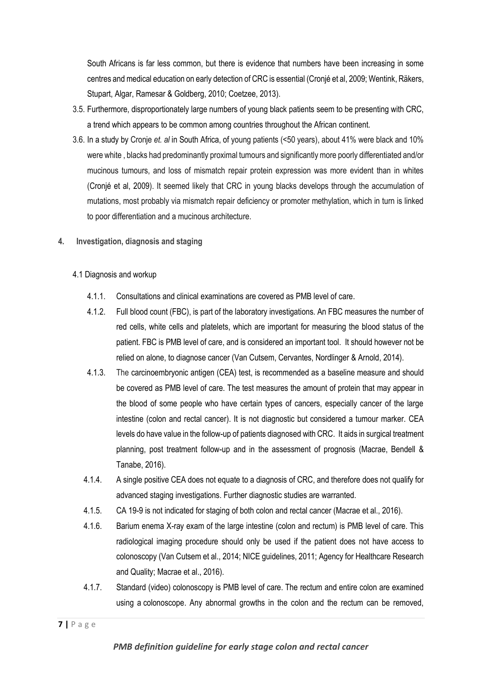South Africans is far less common, but there is evidence that numbers have been increasing in some centres and medical education on early detection of CRC is essential (Cronjé et al, 2009; Wentink, Räkers, Stupart, Algar, Ramesar & Goldberg, 2010; Coetzee, 2013).

- 3.5. Furthermore, disproportionately large numbers of young black patients seem to be presenting with CRC, a trend which appears to be common among countries throughout the African continent.
- 3.6. In a study by Cronje *et. al* in South Africa, of young patients (<50 years), about 41% were black and 10% were white , blacks had predominantly proximal tumours and significantly more poorly differentiated and/or mucinous tumours, and loss of mismatch repair protein expression was more evident than in whites (Cronjé et al, 2009). It seemed likely that CRC in young blacks develops through the accumulation of mutations, most probably via mismatch repair deficiency or promoter methylation, which in turn is linked to poor differentiation and a mucinous architecture.
- **4. Investigation, diagnosis and staging**
	- 4.1 Diagnosis and workup
		- 4.1.1. Consultations and clinical examinations are covered as PMB level of care.
		- 4.1.2. Full blood count (FBC), is part of the laboratory investigations. An FBC measures the number of red cells, white cells and platelets, which are important for measuring the blood status of the patient. FBC is PMB level of care, and is considered an important tool. It should however not be relied on alone, to diagnose cancer (Van Cutsem, Cervantes, Nordlinger & Arnold, 2014).
		- 4.1.3. The carcinoembryonic antigen (CEA) test, is recommended as a baseline measure and should be covered as PMB level of care. The test measures the amount of protein that may appear in the blood of some people who have certain types of cancers, especially cancer of the large intestine (colon and rectal cancer). It is not diagnostic but considered a tumour marker. CEA levels do have value in the follow-up of patients diagnosed with CRC. It aids in surgical treatment planning, post treatment follow-up and in the assessment of prognosis (Macrae, Bendell & Tanabe, 2016).
		- 4.1.4. A single positive CEA does not equate to a diagnosis of CRC, and therefore does not qualify for advanced staging investigations. Further diagnostic studies are warranted.
		- 4.1.5. CA 19-9 is not indicated for staging of both colon and rectal cancer (Macrae et al., 2016).
		- 4.1.6. Barium enema X-ray exam of the large intestine (colon and rectum) is PMB level of care. This radiological imaging procedure should only be used if the patient does not have access to colonoscopy (Van Cutsem et al., 2014; NICE guidelines, 2011; Agency for Healthcare Research and Quality; Macrae et al., 2016).
		- 4.1.7. Standard (video) colonoscopy is PMB level of care. The rectum and entire colon are examined using a [colonoscope.](https://www.cancer.gov/Common/PopUps/popDefinition.aspx?id=CDR0000046463&version=Patient&language=English) Any abnormal growths in the colon and the rectum can be removed,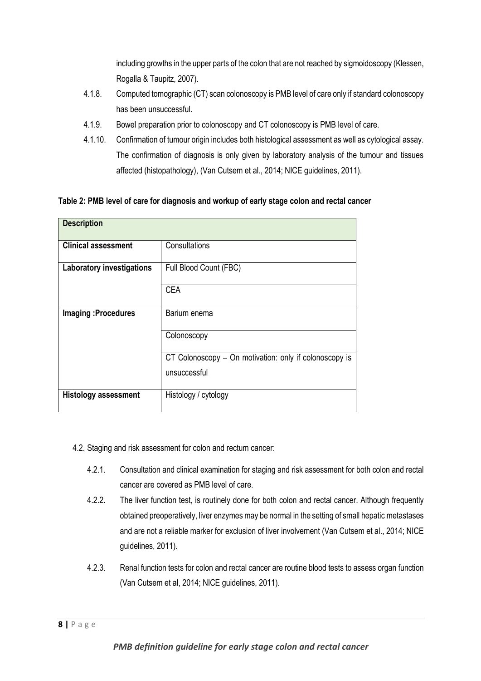including growths in the upper parts of the colon that are not reached by sigmoidoscopy (Klessen, Rogalla & Taupitz, 2007).

- 4.1.8. Computed tomographic (CT) scan [colonoscopy](https://www.cancer.gov/Common/PopUps/popDefinition.aspx?id=CDR0000044973&version=Patient&language=English) is PMB level of care only if standard colonoscopy has been unsuccessful.
- 4.1.9. Bowel preparation prior to colonoscopy and CT colonoscopy is PMB level of care.
- 4.1.10. Confirmation of tumour origin includes both histological assessment as well as cytological assay. The confirmation of diagnosis is only given by laboratory analysis of the tumour and tissues affected (histopathology), (Van Cutsem et al., 2014; NICE guidelines, 2011).

**Table 2: PMB level of care for diagnosis and workup of early stage colon and rectal cancer**

| <b>Description</b>               |                                                        |  |
|----------------------------------|--------------------------------------------------------|--|
| <b>Clinical assessment</b>       | Consultations                                          |  |
| <b>Laboratory investigations</b> | Full Blood Count (FBC)                                 |  |
|                                  | <b>CEA</b>                                             |  |
| Imaging: Procedures              | Barium enema                                           |  |
|                                  | Colonoscopy                                            |  |
|                                  | CT Colonoscopy – On motivation: only if colonoscopy is |  |
|                                  | unsuccessful                                           |  |
| <b>Histology assessment</b>      | Histology / cytology                                   |  |

- 4.2. Staging and risk assessment for colon and rectum cancer:
	- 4.2.1. Consultation and clinical examination for staging and risk assessment for both colon and rectal cancer are covered as PMB level of care.
	- 4.2.2. The liver function test, is routinely done for both colon and rectal cancer. Although frequently obtained preoperatively, liver enzymes may be normal in the setting of small hepatic metastases and are not a reliable marker for exclusion of liver involvement (Van Cutsem et al., 2014; NICE guidelines, 2011).
	- 4.2.3. Renal function tests for colon and rectal cancer are routine blood tests to assess organ function (Van Cutsem et al, 2014; NICE guidelines, 2011).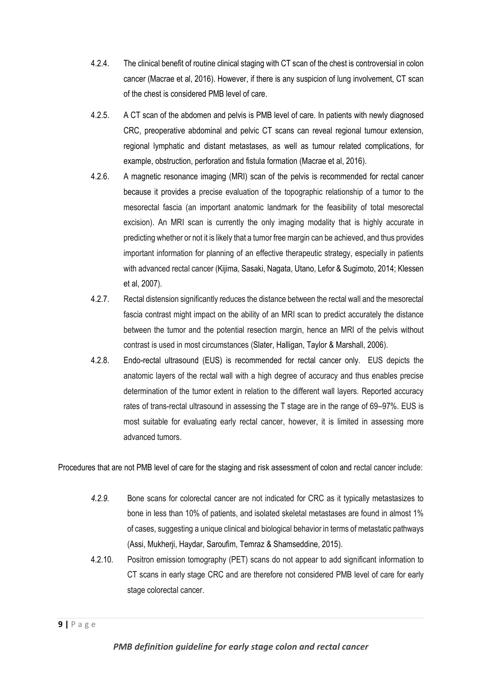- 4.2.4. The clinical benefit of routine clinical staging with CT scan of the chest is controversial in colon cancer (Macrae et al, 2016). However, if there is any suspicion of lung involvement, CT scan of the chest is considered PMB level of care.
- 4.2.5. A CT scan of the abdomen and pelvis is PMB level of care. In patients with newly diagnosed CRC, preoperative abdominal and pelvic CT scans can reveal regional tumour extension, regional lymphatic and distant metastases, as well as tumour related complications, for example, obstruction, perforation and fistula formation (Macrae et al, 2016).
- 4.2.6. A magnetic resonance imaging (MRI) scan of the pelvis is recommended for rectal cancer because it provides a precise evaluation of the topographic relationship of a tumor to the mesorectal fascia (an important anatomic landmark for the feasibility of total mesorectal excision). An MRI scan is currently the only imaging modality that is highly accurate in predicting whether or not it is likely that a tumor free margin can be achieved, and thus provides important information for planning of an effective therapeutic strategy, especially in patients with advanced rectal cancer (Kijima, Sasaki, Nagata, Utano, Lefor & Sugimoto, 2014; Klessen et al, 2007).
- 4.2.7. Rectal distension significantly reduces the distance between the rectal wall and the mesorectal fascia contrast might impact on the ability of an MRI scan to predict accurately the distance between the tumor and the potential resection margin, hence an MRI of the pelvis without contrast is used in most circumstances (Slater, Halligan, Taylor & Marshall, 2006).
- 4.2.8. Endo-rectal ultrasound (EUS) is recommended for rectal cancer only. EUS depicts the anatomic layers of the rectal wall with a high degree of accuracy and thus enables precise determination of the tumor extent in relation to the different wall layers. Reported accuracy rates of trans-rectal ultrasound in assessing the T stage are in the range of 69–97%. EUS is most suitable for evaluating early rectal cancer, however, it is limited in assessing more advanced tumors.

Procedures that are not PMB level of care for the staging and risk assessment of colon and rectal cancer include:

- *4.2.9.* Bone scans for colorectal cancer are not indicated for CRC as it typically metastasizes to bone in less than 10% of patients, and isolated skeletal metastases are found in almost 1% of cases, suggesting a unique clinical and biological behavior in terms of metastatic pathways (Assi, Mukherji, Haydar, Saroufim, Temraz & Shamseddine, 2015).
- 4.2.10. Positron emission tomography (PET) scans do not appear to add significant information to CT scans in early stage CRC and are therefore not considered PMB level of care for early stage colorectal cancer.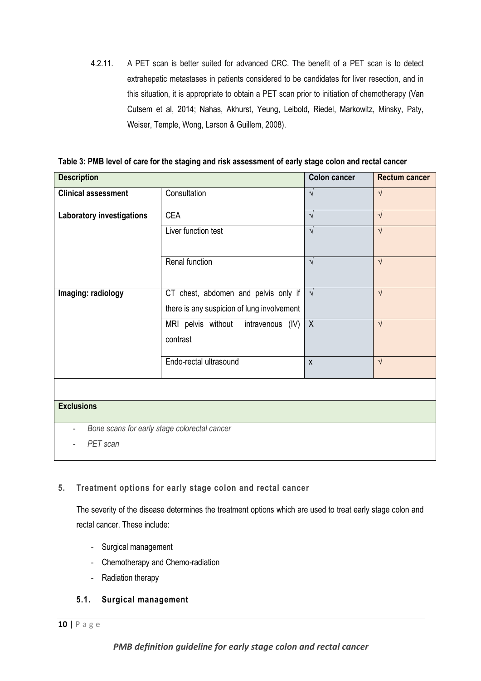4.2.11. A PET scan is better suited for advanced CRC. The benefit of a PET scan is to detect extrahepatic metastases in patients considered to be candidates for liver resection, and in this situation, it is appropriate to obtain a PET scan prior to initiation of chemotherapy (Van Cutsem et al, 2014; Nahas, Akhurst, Yeung, Leibold, Riedel, Markowitz, Minsky, Paty, Weiser, Temple, Wong, Larson & Guillem, 2008).

**Table 3: PMB level of care for the staging and risk assessment of early stage colon and rectal cancer**

| <b>Description</b>               |                                              | <b>Colon cancer</b> | <b>Rectum cancer</b> |
|----------------------------------|----------------------------------------------|---------------------|----------------------|
| <b>Clinical assessment</b>       | Consultation                                 | $\sqrt{}$           | $\sqrt{ }$           |
| <b>Laboratory investigations</b> | <b>CEA</b>                                   | $\sqrt{ }$          | $\sqrt{ }$           |
|                                  | Liver function test                          | $\sqrt{ }$          | $\sqrt{ }$           |
|                                  | Renal function                               | $\sqrt{}$           | $\sqrt{ }$           |
| Imaging: radiology               | CT chest, abdomen and pelvis only if $\vert$ | $\sqrt{ }$          | $\sqrt{ }$           |
|                                  | there is any suspicion of lung involvement   |                     |                      |
|                                  | MRI pelvis without<br>intravenous (IV)       | $\sf X$             | $\sqrt{ }$           |
|                                  | contrast                                     |                     |                      |
|                                  | Endo-rectal ultrasound                       | $\pmb{\mathsf{X}}$  | $\sqrt{ }$           |
|                                  |                                              |                     |                      |
| <b>Exclusions</b>                |                                              |                     |                      |
| $\qquad \qquad -$                | Bone scans for early stage colorectal cancer |                     |                      |
| PET scan                         |                                              |                     |                      |

# **5. Treatment options for early stage colon and rectal cancer**

The severity of the disease determines the treatment options which are used to treat early stage colon and rectal cancer. These include:

- Surgical management
- Chemotherapy and Chemo-radiation
- Radiation therapy

# **5.1. Surgical management**

*PMB definition guideline for early stage colon and rectal cancer*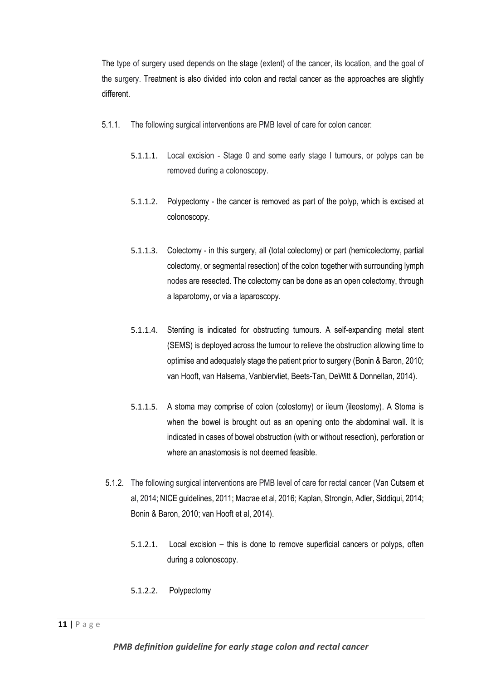The type of surgery used depends on the stage (extent) of the cancer, its location, and the goal of the surgery. Treatment is also divided into colon and rectal cancer as the approaches are slightly different.

- 5.1.1. The following surgical interventions are PMB level of care for colon cancer:
	- 5.1.1.1. Local excision Stage 0 and some early stage I tumours, or polyps can be removed during a colonoscopy.
	- 5.1.1.2. Polypectomy the cancer is removed as part of the polyp, which is excised at colonoscopy.
	- 5.1.1.3. Colectomy in this surgery, all (total colectomy) or part (hemicolectomy, partial colectomy, or segmental resection) of the colon together with surrounding lymph nodes are resected. The colectomy can be done as an open colectomy, through a laparotomy, or via a laparoscopy.
	- 5.1.1.4. Stenting is indicated for obstructing tumours. A self-expanding metal stent (SEMS) is deployed across the tumour to relieve the obstruction allowing time to optimise and adequately stage the patient prior to surgery (Bonin & Baron, 2010; van Hooft, van Halsema, Vanbiervliet, Beets-Tan, DeWitt & Donnellan, 2014).
	- 5.1.1.5. A stoma may comprise of colon (colostomy) or ileum (ileostomy). A Stoma is when the bowel is brought out as an opening onto the abdominal wall. It is indicated in cases of bowel obstruction (with or without resection), perforation or where an anastomosis is not deemed feasible.
- 5.1.2. The following surgical interventions are PMB level of care for rectal cancer (Van Cutsem et al, 2014; NICE guidelines, 2011; Macrae et al, 2016; Kaplan, Strongin, Adler, Siddiqui, 2014; Bonin & Baron, 2010; van Hooft et al, 2014).
	- 5.1.2.1. Local excision this is done to remove superficial cancers or polyps, often during a colonoscopy.
	- 5.1.2.2. Polypectomy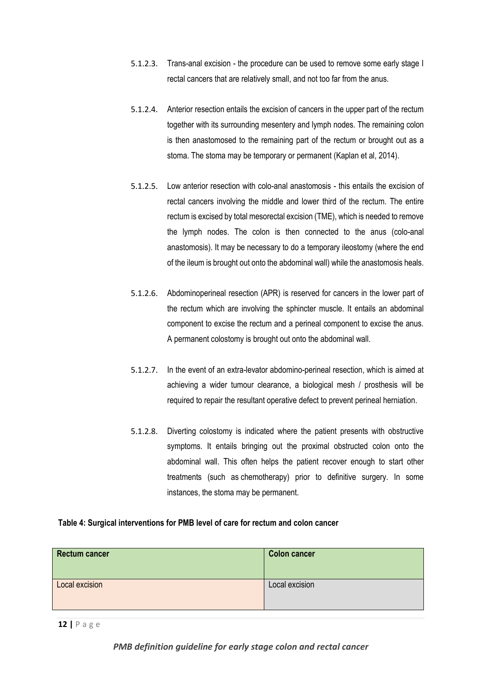- 5.1.2.3. Trans-anal excision the procedure can be used to remove some early stage I rectal cancers that are relatively small, and not too far from the anus.
- 5.1.2.4. Anterior resection entails the excision of cancers in the upper part of the rectum together with its surrounding mesentery and lymph nodes. The remaining colon is then anastomosed to the remaining part of the rectum or brought out as a stoma. The stoma may be temporary or permanent (Kaplan et al, 2014).
- 5.1.2.5. Low anterior resection with colo-anal anastomosis this entails the excision of rectal cancers involving the middle and lower third of the rectum. The entire rectum is excised by total mesorectal excision (TME), which is needed to remove the lymph nodes. The colon is then connected to the anus (colo-anal anastomosis). It may be necessary to do a temporary ileostomy (where the end of the ileum is brought out onto the abdominal wall) while the anastomosis heals.
- 5.1.2.6. Abdominoperineal resection (APR) is reserved for cancers in the lower part of the rectum which are involving the sphincter muscle. It entails an abdominal component to excise the rectum and a perineal component to excise the anus. A permanent colostomy is brought out onto the abdominal wall.
- 5.1.2.7. In the event of an extra-levator abdomino-perineal resection, which is aimed at achieving a wider tumour clearance, a biological mesh / prosthesis will be required to repair the resultant operative defect to prevent perineal herniation.
- 5.1.2.8. Diverting colostomy is indicated where the patient presents with obstructive symptoms. It entails bringing out the proximal obstructed colon onto the abdominal wall. This often helps the patient recover enough to start other treatments (such as [chemotherapy\)](http://www.cancer.org/cancer/colon-rectal-cancer/treating/chemotherapy.html) prior to definitive surgery. In some instances, the stoma may be permanent.

#### **Table 4: Surgical interventions for PMB level of care for rectum and colon cancer**

| <b>Rectum cancer</b> | <b>Colon cancer</b> |
|----------------------|---------------------|
| Local excision       | Local excision      |

**12 |** P a g e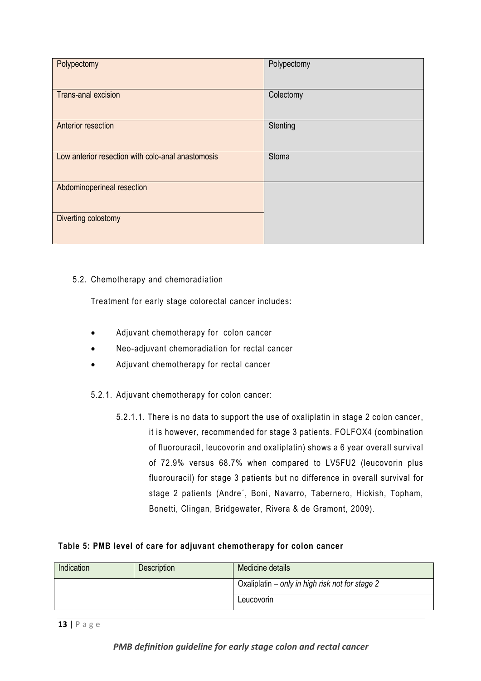| Polypectomy                                       | Polypectomy |
|---------------------------------------------------|-------------|
| <b>Trans-anal excision</b>                        | Colectomy   |
| <b>Anterior resection</b>                         | Stenting    |
| Low anterior resection with colo-anal anastomosis | Stoma       |
| Abdominoperineal resection                        |             |
| Diverting colostomy                               |             |

# 5.2. Chemotherapy and chemoradiation

Treatment for early stage colorectal cancer includes:

- Adjuvant chemotherapy for colon cancer
- Neo-adjuvant chemoradiation for rectal cancer
- Adjuvant chemotherapy for rectal cancer
- 5.2.1. Adjuvant chemotherapy for colon cancer:
	- 5.2.1.1. There is no data to support the use of oxaliplatin in stage 2 colon cancer, it is however, recommended for stage 3 patients. FOLFOX4 (combination of fluorouracil, leucovorin and oxaliplatin) shows a 6 year overall survival of 72.9% versus 68.7% when compared to LV5FU2 (leucovorin plus fluorouracil) for stage 3 patients but no difference in overall survival for stage 2 patients (Andre´, Boni, Navarro, Tabernero, Hickish, Topham, Bonetti, Clingan, Bridgewater, Rivera & de Gramont, 2009).

# **Table 5: PMB level of care for adjuvant chemotherapy for colon cancer**

| Indication | <b>Description</b> | Medicine details                                |
|------------|--------------------|-------------------------------------------------|
|            |                    | Oxaliplatin – only in high risk not for stage 2 |
|            |                    | Leucovorin                                      |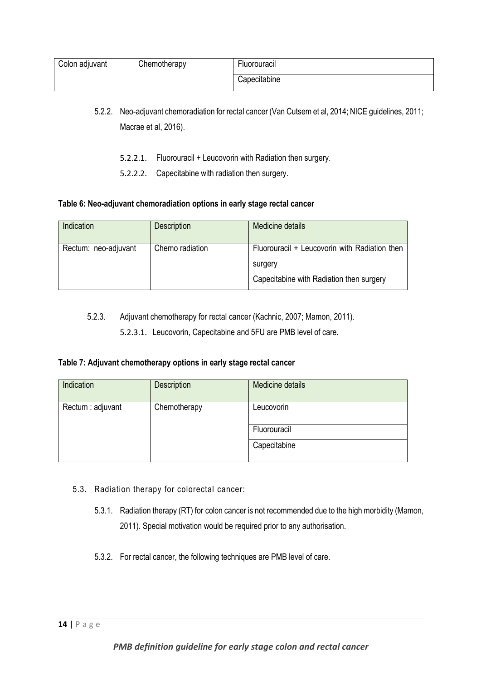| Colon adjuvant | Chemotherapy | <b>Fluorouracil</b> |
|----------------|--------------|---------------------|
|                |              | Capecitabine        |

- 5.2.2. Neo-adjuvant chemoradiation for rectal cancer (Van Cutsem et al, 2014; NICE guidelines, 2011; Macrae et al, 2016).
	- 5.2.2.1. Fluorouracil + Leucovorin with Radiation then surgery.
	- 5.2.2.2. Capecitabine with radiation then surgery.

#### **Table 6: Neo-adjuvant chemoradiation options in early stage rectal cancer**

| Indication           | <b>Description</b> | Medicine details                              |
|----------------------|--------------------|-----------------------------------------------|
| Rectum: neo-adjuvant | Chemo radiation    | Fluorouracil + Leucovorin with Radiation then |
|                      |                    | surgery                                       |
|                      |                    | Capecitabine with Radiation then surgery      |

5.2.3. Adjuvant chemotherapy for rectal cancer (Kachnic, 2007; Mamon, 2011).

5.2.3.1. Leucovorin, Capecitabine and 5FU are PMB level of care.

# **Table 7: Adjuvant chemotherapy options in early stage rectal cancer**

| Indication        | <b>Description</b> | Medicine details |
|-------------------|--------------------|------------------|
| Rectum : adjuvant | Chemotherapy       | Leucovorin       |
|                   |                    | Fluorouracil     |
|                   |                    | Capecitabine     |

- 5.3. Radiation therapy for colorectal cancer:
	- 5.3.1. Radiation therapy (RT) for colon cancer is not recommended due to the high morbidity (Mamon, 2011). Special motivation would be required prior to any authorisation.
	- 5.3.2. For rectal cancer, the following techniques are PMB level of care.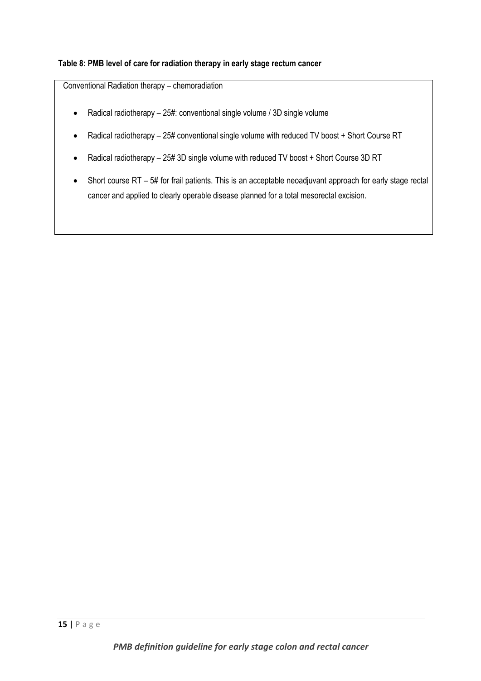# **Table 8: PMB level of care for radiation therapy in early stage rectum cancer**

Conventional Radiation therapy – chemoradiation

- Radical radiotherapy 25#: conventional single volume / 3D single volume
- Radical radiotherapy 25# conventional single volume with reduced TV boost + Short Course RT
- Radical radiotherapy 25# 3D single volume with reduced TV boost + Short Course 3D RT
- Short course RT 5# for frail patients. This is an acceptable neoadjuvant approach for early stage rectal cancer and applied to clearly operable disease planned for a total mesorectal excision.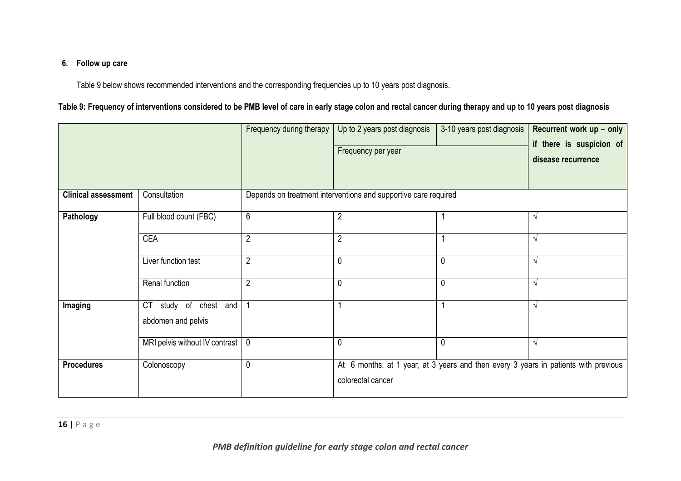# **6. Follow up care**

Table 9 below shows recommended interventions and the corresponding frequencies up to 10 years post diagnosis.

# **Table 9: Frequency of interventions considered to be PMB level of care in early stage colon and rectal cancer during therapy and up to 10 years post diagnosis**

|                            |                                                | Frequency during therapy                                        | Up to 2 years post diagnosis<br>Frequency per year                                                       | 3-10 years post diagnosis | Recurrent work up - only<br>if there is suspicion of<br>disease recurrence |  |  |
|----------------------------|------------------------------------------------|-----------------------------------------------------------------|----------------------------------------------------------------------------------------------------------|---------------------------|----------------------------------------------------------------------------|--|--|
| <b>Clinical assessment</b> | Consultation                                   | Depends on treatment interventions and supportive care required |                                                                                                          |                           |                                                                            |  |  |
| Pathology                  | Full blood count (FBC)                         | 6                                                               | $\overline{2}$                                                                                           |                           | $\sqrt{ }$                                                                 |  |  |
|                            | <b>CEA</b>                                     | $\overline{2}$                                                  | $\overline{2}$                                                                                           |                           | $\sqrt{ }$                                                                 |  |  |
|                            | Liver function test                            | $\overline{2}$                                                  | 0                                                                                                        | 0                         | $\sqrt{ }$                                                                 |  |  |
|                            | Renal function                                 | $\overline{2}$                                                  | 0                                                                                                        | 0                         | $\sqrt{ }$                                                                 |  |  |
| Imaging                    | study of chest and<br>CT<br>abdomen and pelvis | -1                                                              |                                                                                                          |                           | $\sqrt{ }$                                                                 |  |  |
|                            | MRI pelvis without IV contrast   0             |                                                                 | 0                                                                                                        | $\mathbf{0}$              | $\sqrt{ }$                                                                 |  |  |
| <b>Procedures</b>          | Colonoscopy                                    | $\mathbf 0$                                                     | At 6 months, at 1 year, at 3 years and then every 3 years in patients with previous<br>colorectal cancer |                           |                                                                            |  |  |

**16 |** P a g e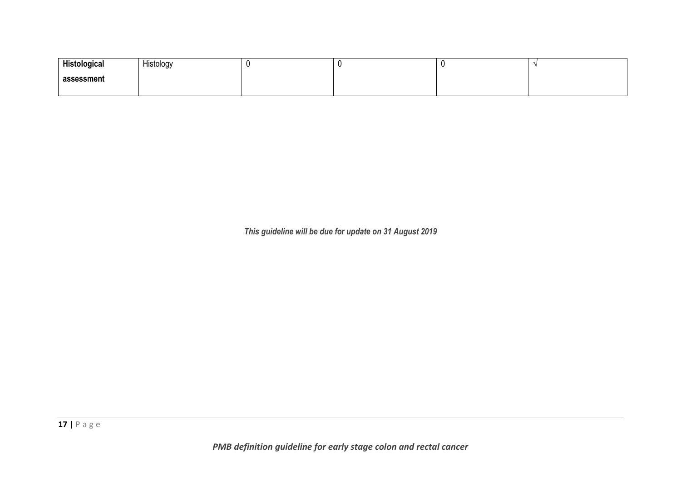| Histological | Histology |  |  |
|--------------|-----------|--|--|
| assessment   |           |  |  |
|              |           |  |  |

*This guideline will be due for update on 31 August 2019*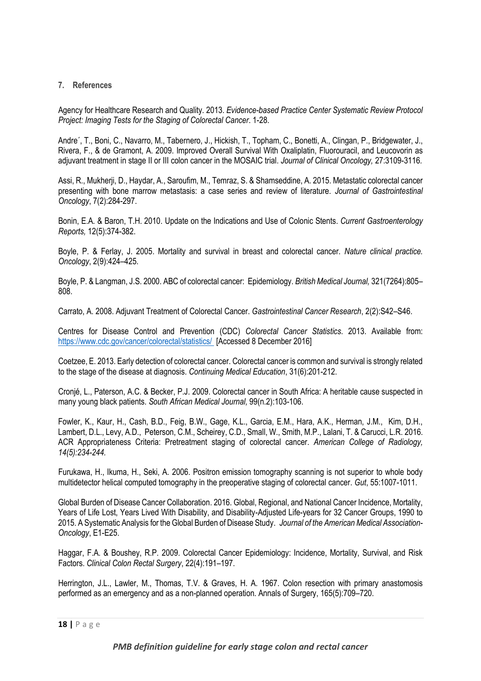#### **7. References**

Agency for Healthcare Research and Quality. 2013. *Evidence-based Practice Center Systematic Review Protocol Project: Imaging Tests for the Staging of Colorectal Cancer*. 1-28.

Andre´, T., Boni, C., Navarro, M., Tabernero, J., Hickish, T., Topham, C., Bonetti, A., Clingan, P., Bridgewater, J., Rivera, F., & de Gramont, A. 2009. Improved Overall Survival With Oxaliplatin, Fluorouracil, and Leucovorin as adjuvant treatment in stage II or III colon cancer in the MOSAIC trial. *Journal of Clinical Oncology,* 27:3109-3116*.*

Assi, R., Mukherji, D., Haydar, A., Saroufim, M., Temraz, S. & Shamseddine, A. 2015. Metastatic colorectal cancer presenting with bone marrow metastasis: a case series and review of literature. *Journal of Gastrointestinal Oncology*, 7(2):284-297.

Bonin, E.A. & Baron, T.H. 2010. Update on the Indications and Use of Colonic Stents. *Current Gastroenterology Reports,* 12(5):374-382.

Boyle, P. & Ferlay, J. 2005. Mortality and survival in breast and colorectal cancer. *Nature clinical practice. Oncology*, 2(9):424–425.

Boyle, P. & Langman, J.S. 2000. ABC of colorectal cancer: Epidemiology. *British Medical Journal,* 321(7264):805– 808.

Carrato, A. 2008. Adjuvant Treatment of Colorectal Cancer. *Gastrointestinal Cancer Research*, 2(2):S42–S46.

Centres for Disease Control and Prevention (CDC) *Colorectal Cancer Statistics*. 2013. Available from: <https://www.cdc.gov/cancer/colorectal/statistics/> [Accessed 8 December 2016]

Coetzee, E. 2013. Early detection of colorectal cancer. Colorectal cancer is common and survival is strongly related to the stage of the disease at diagnosis. *Continuing Medical Education*, 31(6):201-212.

Cronjé, L., Paterson, A.C. & Becker, P.J. 2009. Colorectal cancer in South Africa: A heritable cause suspected in many young black patients. *South African Medical Journal,* 99(n.2):103-106.

Fowler, K., Kaur, H., Cash, B.D., Feig, B.W., Gage, K.L., Garcia, E.M., Hara, A.K., Herman, J.M., Kim, D.H., Lambert, D.L., Levy, A.D., Peterson, C.M., Scheirey, C.D., Small, W., Smith, M.P., Lalani, T. & Carucci, L.R. 2016. ACR Appropriateness Criteria: Pretreatment staging of colorectal cancer. *American College of Radiology, 14(5):234-244.*

Furukawa, H., Ikuma, H., Seki, A. 2006. Positron emission tomography scanning is not superior to whole body multidetector helical computed tomography in the preoperative staging of colorectal cancer. *Gut*, 55:1007-1011.

Global Burden of Disease Cancer Collaboration. 2016. Global, Regional, and National Cancer Incidence, Mortality, Years of Life Lost, Years Lived With Disability, and Disability-Adjusted Life-years for 32 Cancer Groups, 1990 to 2015. A Systematic Analysis for the Global Burden of Disease Study. *Journal of the American Medical Association-Oncology*, E1-E25.

Haggar, F.A. & Boushey, R.P. 2009. Colorectal Cancer Epidemiology: Incidence, Mortality, Survival, and Risk Factors. *Clinical Colon Rectal Surgery*, 22(4):191–197.

Herrington, J.L., Lawler, M., Thomas, T.V. & Graves, H. A. 1967. Colon resection with primary anastomosis performed as an emergency and as a non-planned operation. Annals of Surgery, 165(5):709–720.